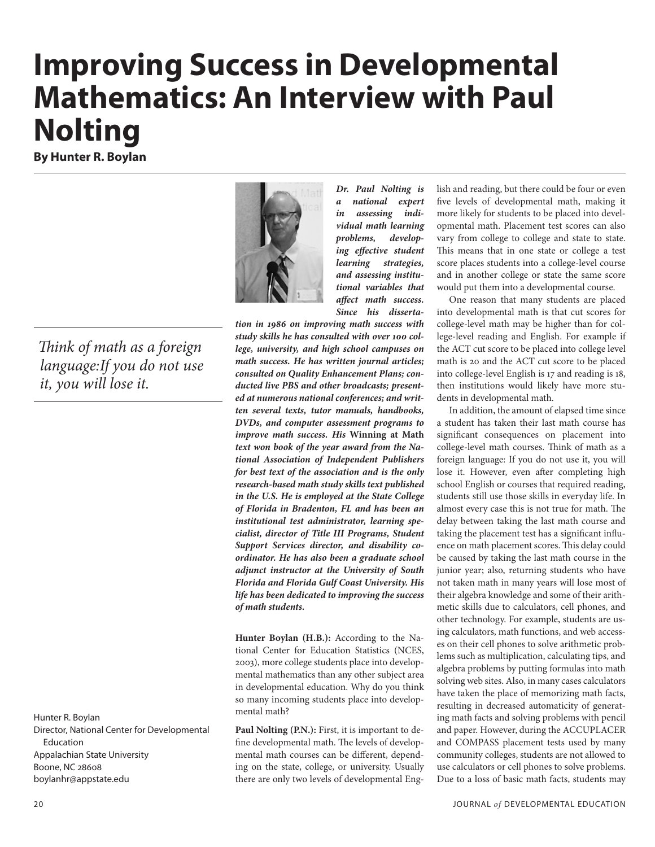# **Improving Success in Developmental Mathematics: An Interview with Paul Nolting**

**By Hunter R. Boylan**

*Think of math as a foreign language:If you do not use it, you will lose it.*

Hunter R. Boylan Director, National Center for Developmental Education Appalachian State University Boone, NC 28608 boylanhr@appstate.edu



*Dr. Paul Nolting is a national expert in assessing individual math learning problems, developing effective student learning strategies, and assessing institutional variables that affect math success. Since his disserta-*

*tion in 1986 on improving math success with study skills he has consulted with over 100 college, university, and high school campuses on math success. He has written journal articles; consulted on Quality Enhancement Plans; conducted live PBS and other broadcasts; presented at numerous national conferences; and written several texts, tutor manuals, handbooks, DVDs, and computer assessment programs to improve math success. His* **Winning at Math**  *text won book of the year award from the National Association of Independent Publishers for best text of the association and is the only research-based math study skills text published in the U.S. He is employed at the State College of Florida in Bradenton, FL and has been an institutional test administrator, learning specialist, director of Title III Programs, Student Support Services director, and disability coordinator. He has also been a graduate school adjunct instructor at the University of South Florida and Florida Gulf Coast University. His life has been dedicated to improving the success of math students.*

**Hunter Boylan (H.B.):** According to the National Center for Education Statistics (NCES, 2003), more college students place into developmental mathematics than any other subject area in developmental education. Why do you think so many incoming students place into developmental math?

**Paul Nolting (P.N.):** First, it is important to define developmental math. The levels of developmental math courses can be different, depending on the state, college, or university. Usually there are only two levels of developmental English and reading, but there could be four or even five levels of developmental math, making it more likely for students to be placed into developmental math. Placement test scores can also vary from college to college and state to state. This means that in one state or college a test score places students into a college-level course and in another college or state the same score would put them into a developmental course.

One reason that many students are placed into developmental math is that cut scores for college-level math may be higher than for college-level reading and English. For example if the ACT cut score to be placed into college level math is 20 and the ACT cut score to be placed into college-level English is 17 and reading is 18, then institutions would likely have more students in developmental math.

In addition, the amount of elapsed time since a student has taken their last math course has significant consequences on placement into college-level math courses. Think of math as a foreign language: If you do not use it, you will lose it. However, even after completing high school English or courses that required reading, students still use those skills in everyday life. In almost every case this is not true for math. The delay between taking the last math course and taking the placement test has a significant influence on math placement scores. This delay could be caused by taking the last math course in the junior year; also, returning students who have not taken math in many years will lose most of their algebra knowledge and some of their arithmetic skills due to calculators, cell phones, and other technology. For example, students are using calculators, math functions, and web accesses on their cell phones to solve arithmetic problems such as multiplication, calculating tips, and algebra problems by putting formulas into math solving web sites. Also, in many cases calculators have taken the place of memorizing math facts, resulting in decreased automaticity of generating math facts and solving problems with pencil and paper. However, during the ACCUPLACER and COMPASS placement tests used by many community colleges, students are not allowed to use calculators or cell phones to solve problems. Due to a loss of basic math facts, students may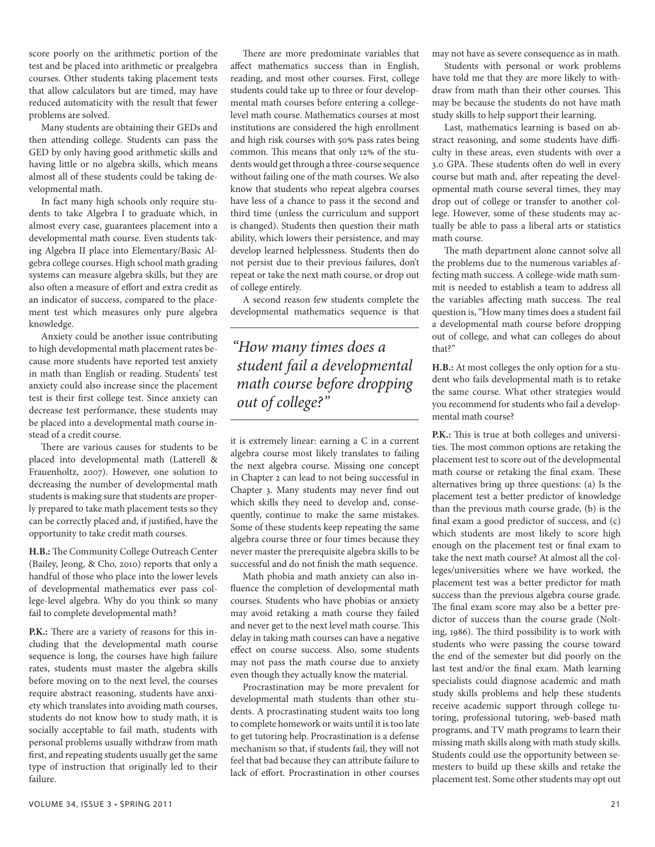score poorly on the arithmetic portion of the test and be placed into arithmetic or prealgebra courses. Other students taking placement tests that allow calculators but are timed, may have reduced automaticity with the result that fewer problems are solved.

Many students are obtaining their GEDs and then attending college. Students can pass the GED by only having good arithmetic skills and having little or no algebra skills, which means almost all of these students could be taking developmental math.

In fact many high schools only require students to take Algebra I to graduate which, in almost every case, guarantees placement into a developmental math course. Even students taking Algebra II place into Elementary/Basic Algebra college courses. High school math grading systems can measure algebra skills, but they are also often a measure of effort and extra credit as an indicator of success, compared to the placement test which measures only pure algebra knowledge.

Anxiety could be another issue contributing to high developmental math placement rates because more students have reported test anxiety in math than English or reading. Students' test anxiety could also increase since the placement test is their first college test. Since anxiety can decrease test performance, these students may be placed into a developmental math course instead of a credit course.

There are various causes for students to be placed into developmental math (Latterell & Frauenholtz, 2007). However, one solution to decreasing the number of developmental math students is making sure that students are properly prepared to take math placement tests so they can be correctly placed and, if justified, have the opportunity to take credit math courses.

**H.B.:** The Community College Outreach Center (Bailey, Jeong, & Cho, 2010) reports that only a handful of those who place into the lower levels of developmental mathematics ever pass college-level algebra. Why do you think so many fail to complete developmental math?

**P.K.:** There are a variety of reasons for this including that the developmental math course sequence is long, the courses have high failure rates, students must master the algebra skills before moving on to the next level, the courses require abstract reasoning, students have anxiety which translates into avoiding math courses, students do not know how to study math, it is socially acceptable to fail math, students with personal problems usually withdraw from math first, and repeating students usually get the same type of instruction that originally led to their failure.

There are more predominate variables that affect mathematics success than in English, reading, and most other courses. First, college students could take up to three or four developmental math courses before entering a collegelevel math course. Mathematics courses at most institutions are considered the high enrollment and high risk courses with 50% pass rates being common. This means that only 12% of the students would get through a three-course sequence without failing one of the math courses. We also know that students who repeat algebra courses have less of a chance to pass it the second and third time (unless the curriculum and support is changed). Students then question their math ability, which lowers their persistence, and may develop learned helplessness. Students then do not persist due to their previous failures, don't repeat or take the next math course, or drop out of college entirely.

A second reason few students complete the developmental mathematics sequence is that

*"How many times does a student fail a developmental math course before dropping out of college?"*

it is extremely linear: earning a C in a current algebra course most likely translates to failing the next algebra course. Missing one concept in Chapter 2 can lead to not being successful in Chapter 3. Many students may never find out which skills they need to develop and, consequently, continue to make the same mistakes. Some of these students keep repeating the same algebra course three or four times because they never master the prerequisite algebra skills to be successful and do not finish the math sequence.

Math phobia and math anxiety can also influence the completion of developmental math courses. Students who have phobias or anxiety may avoid retaking a math course they failed and never get to the next level math course. This delay in taking math courses can have a negative effect on course success. Also, some students may not pass the math course due to anxiety even though they actually know the material.

Procrastination may be more prevalent for developmental math students than other students. A procrastinating student waits too long to complete homework or waits until it is too late to get tutoring help. Procrastination is a defense mechanism so that, if students fail, they will not feel that bad because they can attribute failure to lack of effort. Procrastination in other courses

may not have as severe consequence as in math.

Students with personal or work problems have told me that they are more likely to withdraw from math than their other courses. This may be because the students do not have math study skills to help support their learning.

Last, mathematics learning is based on abstract reasoning, and some students have difficulty in these areas, even students with over a 3.0 GPA. These students often do well in every course but math and, after repeating the developmental math course several times, they may drop out of college or transfer to another college. However, some of these students may actually be able to pass a liberal arts or statistics math course.

The math department alone cannot solve all the problems due to the numerous variables affecting math success. A college-wide math summit is needed to establish a team to address all the variables affecting math success. The real question is, "How many times does a student fail a developmental math course before dropping out of college, and what can colleges do about that?"

**H.B.:** At most colleges the only option for a student who fails developmental math is to retake the same course. What other strategies would you recommend for students who fail a developmental math course?

**P.K.:** This is true at both colleges and universities. The most common options are retaking the placement test to score out of the developmental math course or retaking the final exam. These alternatives bring up three questions: (a) Is the placement test a better predictor of knowledge than the previous math course grade, (b) is the final exam a good predictor of success, and (c) which students are most likely to score high enough on the placement test or final exam to take the next math course? At almost all the colleges/universities where we have worked, the placement test was a better predictor for math success than the previous algebra course grade. The final exam score may also be a better predictor of success than the course grade (Nolting, 1986). The third possibility is to work with students who were passing the course toward the end of the semester but did poorly on the last test and/or the final exam. Math learning specialists could diagnose academic and math study skills problems and help these students receive academic support through college tutoring, professional tutoring, web-based math programs, and TV math programs to learn their missing math skills along with math study skills. Students could use the opportunity between semesters to build up these skills and retake the placement test. Some other students may opt out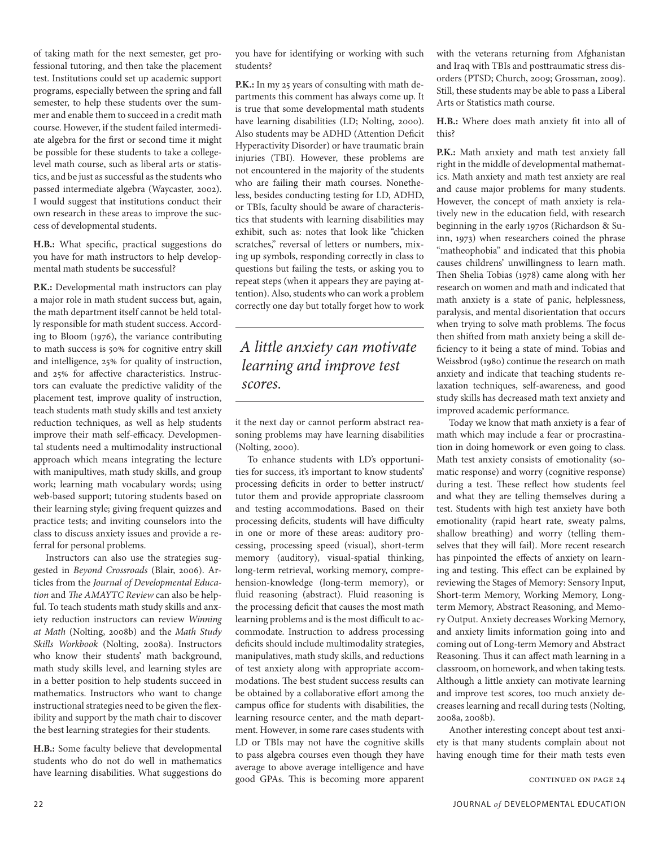of taking math for the next semester, get professional tutoring, and then take the placement test. Institutions could set up academic support programs, especially between the spring and fall semester, to help these students over the summer and enable them to succeed in a credit math course. However, if the student failed intermediate algebra for the first or second time it might be possible for these students to take a collegelevel math course, such as liberal arts or statistics, and be just as successful as the students who passed intermediate algebra (Waycaster, 2002). I would suggest that institutions conduct their own research in these areas to improve the success of developmental students.

**H.B.:** What specific, practical suggestions do you have for math instructors to help developmental math students be successful?

**P.K.:** Developmental math instructors can play a major role in math student success but, again, the math department itself cannot be held totally responsible for math student success. According to Bloom (1976), the variance contributing to math success is 50% for cognitive entry skill and intelligence, 25% for quality of instruction, and 25% for affective characteristics. Instructors can evaluate the predictive validity of the placement test, improve quality of instruction, teach students math study skills and test anxiety reduction techniques, as well as help students improve their math self-efficacy. Developmental students need a multimodality instructional approach which means integrating the lecture with manipultives, math study skills, and group work; learning math vocabulary words; using web-based support; tutoring students based on their learning style; giving frequent quizzes and practice tests; and inviting counselors into the class to discuss anxiety issues and provide a referral for personal problems.

Instructors can also use the strategies suggested in *Beyond Crossroads* (Blair, 2006). Articles from the *Journal of Developmental Education* and *The AMAYTC Review* can also be helpful. To teach students math study skills and anxiety reduction instructors can review *Winning at Math* (Nolting, 2008b) and the *Math Study Skills Workbook* (Nolting, 2008a). Instructors who know their students' math background, math study skills level, and learning styles are in a better position to help students succeed in mathematics. Instructors who want to change instructional strategies need to be given the flexibility and support by the math chair to discover the best learning strategies for their students.

**H.B.:** Some faculty believe that developmental students who do not do well in mathematics have learning disabilities. What suggestions do

you have for identifying or working with such students?

**P.K.:** In my 25 years of consulting with math departments this comment has always come up. It is true that some developmental math students have learning disabilities (LD; Nolting, 2000). Also students may be ADHD (Attention Deficit Hyperactivity Disorder) or have traumatic brain injuries (TBI). However, these problems are not encountered in the majority of the students who are failing their math courses. Nonetheless, besides conducting testing for LD, ADHD, or TBIs, faculty should be aware of characteristics that students with learning disabilities may exhibit, such as: notes that look like "chicken scratches," reversal of letters or numbers, mixing up symbols, responding correctly in class to questions but failing the tests, or asking you to repeat steps (when it appears they are paying attention). Also, students who can work a problem correctly one day but totally forget how to work

### *A little anxiety can motivate learning and improve test scores.*

it the next day or cannot perform abstract reasoning problems may have learning disabilities (Nolting, 2000).

To enhance students with LD's opportunities for success, it's important to know students' processing deficits in order to better instruct/ tutor them and provide appropriate classroom and testing accommodations. Based on their processing deficits, students will have difficulty in one or more of these areas: auditory processing, processing speed (visual), short-term memory (auditory), visual-spatial thinking, long-term retrieval, working memory, comprehension-knowledge (long-term memory), or fluid reasoning (abstract). Fluid reasoning is the processing deficit that causes the most math learning problems and is the most difficult to accommodate. Instruction to address processing deficits should include multimodality strategies, manipulatives, math study skills, and reductions of test anxiety along with appropriate accommodations. The best student success results can be obtained by a collaborative effort among the campus office for students with disabilities, the learning resource center, and the math department. However, in some rare cases students with LD or TBIs may not have the cognitive skills to pass algebra courses even though they have average to above average intelligence and have good GPAs. This is becoming more apparent continued on page 24

with the veterans returning from Afghanistan and Iraq with TBIs and posttraumatic stress disorders (PTSD; Church, 2009; Grossman, 2009). Still, these students may be able to pass a Liberal Arts or Statistics math course.

**H.B.:** Where does math anxiety fit into all of this?

**P.K.:** Math anxiety and math test anxiety fall right in the middle of developmental mathematics. Math anxiety and math test anxiety are real and cause major problems for many students. However, the concept of math anxiety is relatively new in the education field, with research beginning in the early 1970s (Richardson & Suinn, 1973) when researchers coined the phrase "matheophobia" and indicated that this phobia causes childrens' unwillingness to learn math. Then Shelia Tobias (1978) came along with her research on women and math and indicated that math anxiety is a state of panic, helplessness, paralysis, and mental disorientation that occurs when trying to solve math problems. The focus then shifted from math anxiety being a skill deficiency to it being a state of mind. Tobias and Weissbrod (1980) continue the research on math anxiety and indicate that teaching students relaxation techniques, self-awareness, and good study skills has decreased math text anxiety and improved academic performance.

Today we know that math anxiety is a fear of math which may include a fear or procrastination in doing homework or even going to class. Math test anxiety consists of emotionality (somatic response) and worry (cognitive response) during a test. These reflect how students feel and what they are telling themselves during a test. Students with high test anxiety have both emotionality (rapid heart rate, sweaty palms, shallow breathing) and worry (telling themselves that they will fail). More recent research has pinpointed the effects of anxiety on learning and testing. This effect can be explained by reviewing the Stages of Memory: Sensory Input, Short-term Memory, Working Memory, Longterm Memory, Abstract Reasoning, and Memory Output. Anxiety decreases Working Memory, and anxiety limits information going into and coming out of Long-term Memory and Abstract Reasoning. Thus it can affect math learning in a classroom, on homework, and when taking tests. Although a little anxiety can motivate learning and improve test scores, too much anxiety decreases learning and recall during tests (Nolting, 2008a, 2008b).

Another interesting concept about test anxiety is that many students complain about not having enough time for their math tests even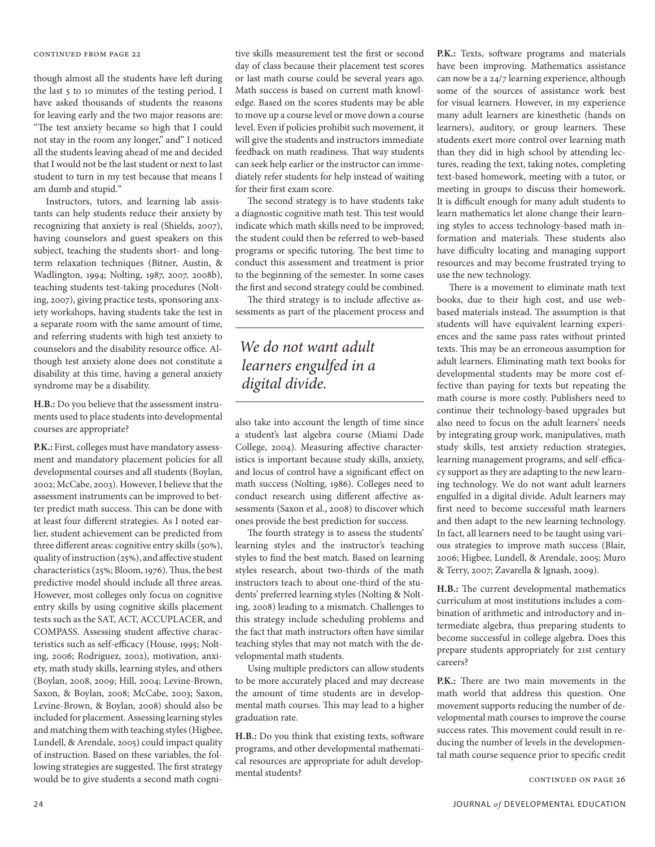#### continued from page 22

though almost all the students have left during the last 5 to 10 minutes of the testing period. I have asked thousands of students the reasons for leaving early and the two major reasons are: "The test anxiety became so high that I could not stay in the room any longer," and" I noticed all the students leaving ahead of me and decided that I would not be the last student or next to last student to turn in my test because that means I am dumb and stupid."

Instructors, tutors, and learning lab assistants can help students reduce their anxiety by recognizing that anxiety is real (Shields, 2007), having counselors and guest speakers on this subject, teaching the students short- and longterm relaxation techniques (Bitner, Austin, & Wadlington, 1994; Nolting, 1987, 2007, 2008b), teaching students test-taking procedures (Nolting, 2007), giving practice tests, sponsoring anxiety workshops, having students take the test in a separate room with the same amount of time, and referring students with high test anxiety to counselors and the disability resource office. Although test anxiety alone does not constitute a disability at this time, having a general anxiety syndrome may be a disability.

**H.B.:** Do you believe that the assessment instruments used to place students into developmental courses are appropriate?

**P.K.:** First, colleges must have mandatory assessment and mandatory placement policies for all developmental courses and all students (Boylan, 2002; McCabe, 2003). However, I believe that the assessment instruments can be improved to better predict math success. This can be done with at least four different strategies. As I noted earlier, student achievement can be predicted from three different areas: cognitive entry skills (50%), quality of instruction (25%), and affective student characteristics (25%; Bloom, 1976). Thus, the best predictive model should include all three areas. However, most colleges only focus on cognitive entry skills by using cognitive skills placement tests such as the SAT, ACT, ACCUPLACER, and COMPASS. Assessing student affective characteristics such as self-efficacy (House, 1995; Nolting, 2006; Rodriguez, 2002), motivation, anxiety, math study skills, learning styles, and others (Boylan, 2008, 2009; Hill, 2004; Levine-Brown, Saxon, & Boylan, 2008; McCabe, 2003; Saxon, Levine-Brown, & Boylan, 2008) should also be included for placement. Assessing learning styles and matching them with teaching styles (Higbee, Lundell, & Arendale, 2005) could impact quality of instruction. Based on these variables, the following strategies are suggested. The first strategy would be to give students a second math cogni-

tive skills measurement test the first or second day of class because their placement test scores or last math course could be several years ago. Math success is based on current math knowledge. Based on the scores students may be able to move up a course level or move down a course level. Even if policies prohibit such movement, it will give the students and instructors immediate feedback on math readiness. That way students can seek help earlier or the instructor can immediately refer students for help instead of waiting for their first exam score.

The second strategy is to have students take a diagnostic cognitive math test. This test would indicate which math skills need to be improved; the student could then be referred to web-based programs or specific tutoring. The best time to conduct this assessment and treatment is prior to the beginning of the semester. In some cases the first and second strategy could be combined.

The third strategy is to include affective assessments as part of the placement process and

### *We do not want adult learners engulfed in a digital divide.*

also take into account the length of time since a student's last algebra course (Miami Dade College, 2004). Measuring affective characteristics is important because study skills, anxiety, and locus of control have a significant effect on math success (Nolting, 1986). Colleges need to conduct research using different affective assessments (Saxon et al., 2008) to discover which ones provide the best prediction for success.

The fourth strategy is to assess the students' learning styles and the instructor's teaching styles to find the best match. Based on learning styles research, about two-thirds of the math instructors teach to about one-third of the students' preferred learning styles (Nolting & Nolting, 2008) leading to a mismatch. Challenges to this strategy include scheduling problems and the fact that math instructors often have similar teaching styles that may not match with the developmental math students.

Using multiple predictors can allow students to be more accurately placed and may decrease the amount of time students are in developmental math courses. This may lead to a higher graduation rate.

**H.B.:** Do you think that existing texts, software programs, and other developmental mathematical resources are appropriate for adult developmental students?

**P.K.:** Texts, software programs and materials have been improving. Mathematics assistance can now be a 24/7 learning experience, although some of the sources of assistance work best for visual learners. However, in my experience many adult learners are kinesthetic (hands on learners), auditory, or group learners. These students exert more control over learning math than they did in high school by attending lectures, reading the text, taking notes, completing text-based homework, meeting with a tutor, or meeting in groups to discuss their homework. It is difficult enough for many adult students to learn mathematics let alone change their learning styles to access technology-based math information and materials. These students also have difficulty locating and managing support resources and may become frustrated trying to use the new technology.

There is a movement to eliminate math text books, due to their high cost, and use webbased materials instead. The assumption is that students will have equivalent learning experiences and the same pass rates without printed texts. This may be an erroneous assumption for adult learners. Eliminating math text books for developmental students may be more cost effective than paying for texts but repeating the math course is more costly. Publishers need to continue their technology-based upgrades but also need to focus on the adult learners' needs by integrating group work, manipulatives, math study skills, test anxiety reduction strategies, learning management programs, and self-efficacy support as they are adapting to the new learning technology. We do not want adult learners engulfed in a digital divide. Adult learners may first need to become successful math learners and then adapt to the new learning technology. In fact, all learners need to be taught using various strategies to improve math success (Blair, 2006; Higbee, Lundell, & Arendale, 2005; Muro & Terry, 2007; Zavarella & Ignash, 2009).

**H.B.:** The current developmental mathematics curriculum at most institutions includes a combination of arithmetic and introductory and intermediate algebra, thus preparing students to become successful in college algebra. Does this prepare students appropriately for 21st century careers?

**P.K.:** There are two main movements in the math world that address this question. One movement supports reducing the number of developmental math courses to improve the course success rates. This movement could result in reducing the number of levels in the developmental math course sequence prior to specific credit

continued on page 26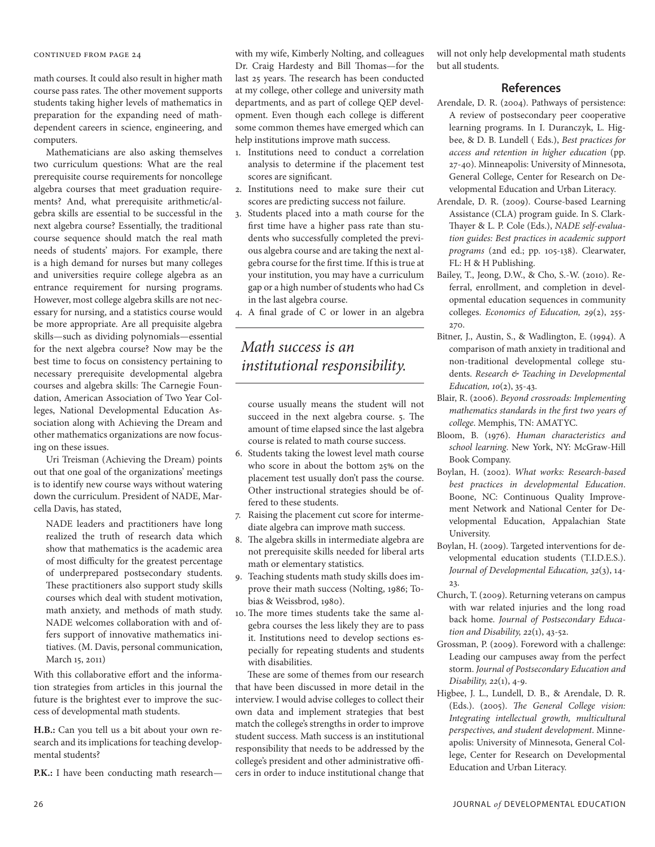#### continued from page 24

math courses. It could also result in higher math course pass rates. The other movement supports students taking higher levels of mathematics in preparation for the expanding need of mathdependent careers in science, engineering, and computers.

Mathematicians are also asking themselves two curriculum questions: What are the real prerequisite course requirements for noncollege algebra courses that meet graduation requirements? And, what prerequisite arithmetic/algebra skills are essential to be successful in the next algebra course? Essentially, the traditional course sequence should match the real math needs of students' majors. For example, there is a high demand for nurses but many colleges and universities require college algebra as an entrance requirement for nursing programs. However, most college algebra skills are not necessary for nursing, and a statistics course would be more appropriate. Are all prequisite algebra skills—such as dividing polynomials—essential for the next algebra course? Now may be the best time to focus on consistency pertaining to necessary prerequisite developmental algebra courses and algebra skills: The Carnegie Foundation, American Association of Two Year Colleges, National Developmental Education Association along with Achieving the Dream and other mathematics organizations are now focusing on these issues.

Uri Treisman (Achieving the Dream) points out that one goal of the organizations' meetings is to identify new course ways without watering down the curriculum. President of NADE, Marcella Davis, has stated,

NADE leaders and practitioners have long realized the truth of research data which show that mathematics is the academic area of most difficulty for the greatest percentage of underprepared postsecondary students. These practitioners also support study skills courses which deal with student motivation, math anxiety, and methods of math study. NADE welcomes collaboration with and offers support of innovative mathematics initiatives. (M. Davis, personal communication, March 15, 2011)

With this collaborative effort and the information strategies from articles in this journal the future is the brightest ever to improve the success of developmental math students.

**H.B.:** Can you tell us a bit about your own research and its implications for teaching developmental students?

**P.K.:** I have been conducting math research—

with my wife, Kimberly Nolting, and colleagues Dr. Craig Hardesty and Bill Thomas—for the last 25 years. The research has been conducted at my college, other college and university math departments, and as part of college QEP development. Even though each college is different some common themes have emerged which can help institutions improve math success.

- 1. Institutions need to conduct a correlation analysis to determine if the placement test scores are significant.
- 2. Institutions need to make sure their cut scores are predicting success not failure.
- 3. Students placed into a math course for the first time have a higher pass rate than students who successfully completed the previous algebra course and are taking the next algebra course for the first time. If this is true at your institution, you may have a curriculum gap or a high number of students who had Cs in the last algebra course.
- 4. A final grade of C or lower in an algebra

### *Math success is an institutional responsibility.*

course usually means the student will not succeed in the next algebra course. 5. The amount of time elapsed since the last algebra course is related to math course success.

- 6. Students taking the lowest level math course who score in about the bottom 25% on the placement test usually don't pass the course. Other instructional strategies should be offered to these students.
- 7. Raising the placement cut score for intermediate algebra can improve math success.
- 8. The algebra skills in intermediate algebra are not prerequisite skills needed for liberal arts math or elementary statistics.
- 9. Teaching students math study skills does improve their math success (Nolting, 1986; Tobias & Weissbrod, 1980).
- 10. The more times students take the same algebra courses the less likely they are to pass it. Institutions need to develop sections especially for repeating students and students with disabilities.

These are some of themes from our research that have been discussed in more detail in the interview. I would advise colleges to collect their own data and implement strategies that best match the college's strengths in order to improve student success. Math success is an institutional responsibility that needs to be addressed by the college's president and other administrative officers in order to induce institutional change that will not only help developmental math students but all students.

#### **References**

- Arendale, D. R. (2004). Pathways of persistence: A review of postsecondary peer cooperative learning programs. In I. Duranczyk, L. Higbee, & D. B. Lundell ( Eds.), *Best practices for access and retention in higher education* (pp. 27-40). Minneapolis: University of Minnesota, General College, Center for Research on Developmental Education and Urban Literacy.
- Arendale, D. R. (2009). Course-based Learning Assistance (CLA) program guide. In S. Clark-Thayer & L. P. Cole (Eds.), *NADE self-evaluation guides: Best practices in academic support programs* (2nd ed.; pp. 105-138). Clearwater, FL: H & H Publishing.
- Bailey, T., Jeong, D.W., & Cho, S.-W. (2010). Referral, enrollment, and completion in developmental education sequences in community colleges. *Economics of Education, 29*(2), 255- 270.
- Bitner, J., Austin, S., & Wadlington, E. (1994). A comparison of math anxiety in traditional and non-traditional developmental college students. *Research & Teaching in Developmental Education, 10*(2), 35-43.
- Blair, R. (2006). *Beyond crossroads: Implementing mathematics standards in the first two years of college*. Memphis, TN: AMATYC.
- Bloom, B. (1976). *Human characteristics and school learning*. New York, NY: McGraw-Hill Book Company.
- Boylan, H. (2002). *What works: Research-based best practices in developmental Education*. Boone, NC: Continuous Quality Improvement Network and National Center for Developmental Education, Appalachian State University.
- Boylan, H. (2009). Targeted interventions for developmental education students (T.I.D.E.S.). *Journal of Developmental Education, 32*(3), 14- 23.
- Church, T. (2009). Returning veterans on campus with war related injuries and the long road back home. *Journal of Postsecondary Education and Disability, 22*(1), 43-52.
- Grossman, P. (2009). Foreword with a challenge: Leading our campuses away from the perfect storm. *Journal of Postsecondary Education and Disability, 22*(1), 4-9.
- Higbee, J. L., Lundell, D. B., & Arendale, D. R. (Eds.). (2005). *The General College vision: Integrating intellectual growth, multicultural perspectives, and student development*. Minneapolis: University of Minnesota, General College, Center for Research on Developmental Education and Urban Literacy.